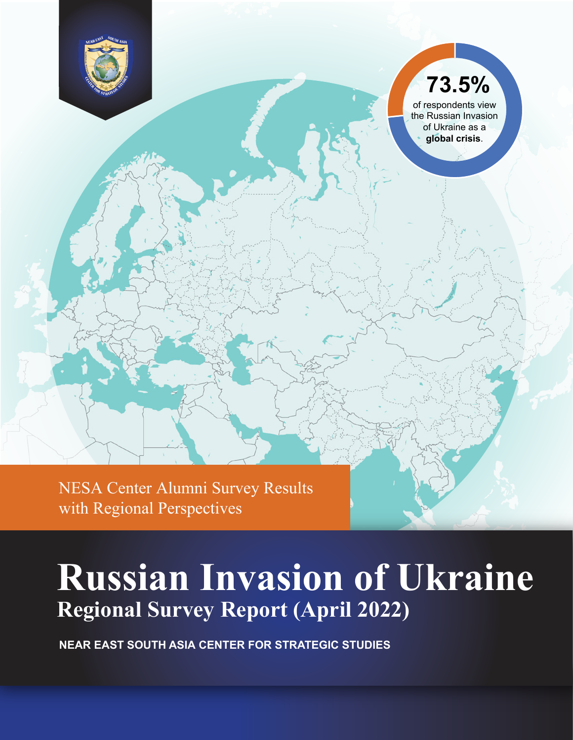<span id="page-0-0"></span>

# **73.5%**

of respondents view the Russian Invasion of Ukraine as a **global crisis**.

NESA Center Alumni Survey Results with Regional Perspectives

# **Russian Invasion of Ukraine Regional Survey Report (April 2022)**

**NEAR EAST SOUTH ASIA CENTER FOR STRATEGIC STUDIES**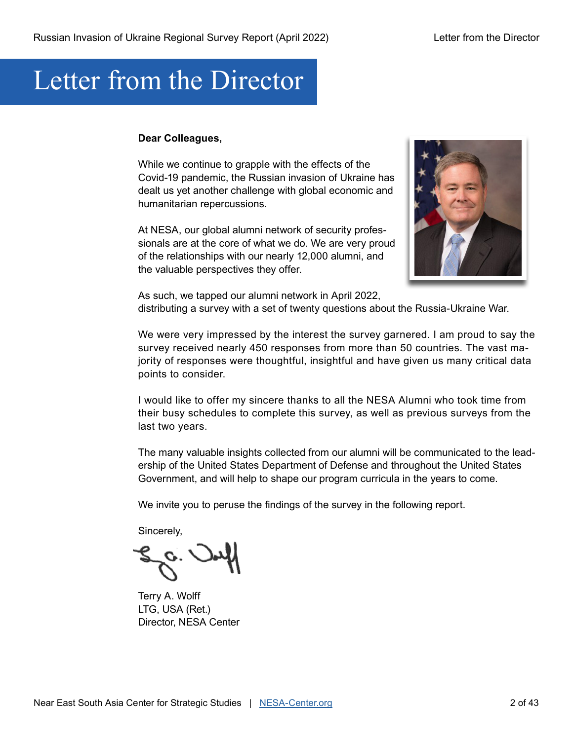# Letter from the Director

#### **Dear Colleagues,**

While we continue to grapple with the effects of the Covid-19 pandemic, the Russian invasion of Ukraine has dealt us yet another challenge with global economic and humanitarian repercussions.

At NESA, our global alumni network of security professionals are at the core of what we do. We are very proud of the relationships with our nearly 12,000 alumni, and the valuable perspectives they offer.



As such, we tapped our alumni network in April 2022, distributing a survey with a set of twenty questions about the Russia-Ukraine War.

We were very impressed by the interest the survey garnered. I am proud to say the survey received nearly 450 responses from more than 50 countries. The vast majority of responses were thoughtful, insightful and have given us many critical data points to consider.

I would like to offer my sincere thanks to all the NESA Alumni who took time from their busy schedules to complete this survey, as well as previous surveys from the last two years.

The many valuable insights collected from our alumni will be communicated to the leadership of the United States Department of Defense and throughout the United States Government, and will help to shape our program curricula in the years to come.

We invite you to peruse the findings of the survey in the following report.

Sincerely,

Terry A. Wolff LTG, USA (Ret.) Director, NESA Center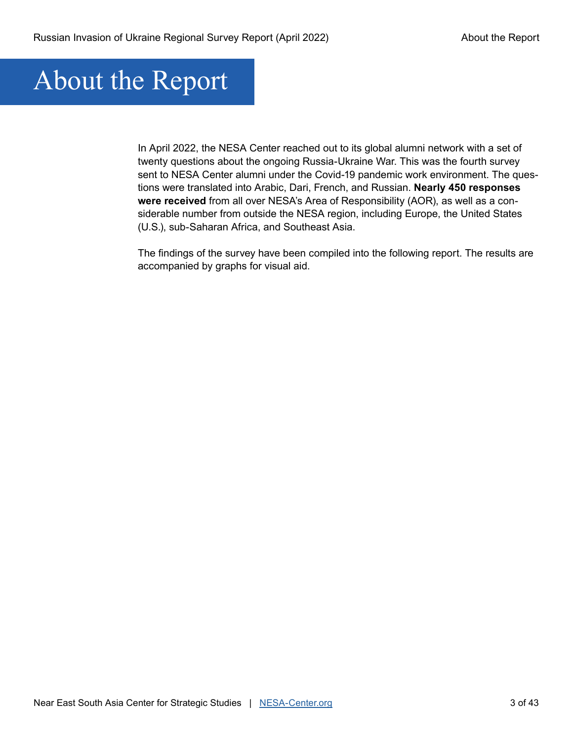# About the Report

In April 2022, the NESA Center reached out to its global alumni network with a set of twenty questions about the ongoing Russia-Ukraine War. This was the fourth survey sent to NESA Center alumni under the Covid-19 pandemic work environment. The questions were translated into Arabic, Dari, French, and Russian. **Nearly 450 responses were received** from all over NESA's Area of Responsibility (AOR), as well as a considerable number from outside the NESA region, including Europe, the United States (U.S.), sub-Saharan Africa, and Southeast Asia.

The findings of the survey have been compiled into the following report. The results are accompanied by graphs for visual aid.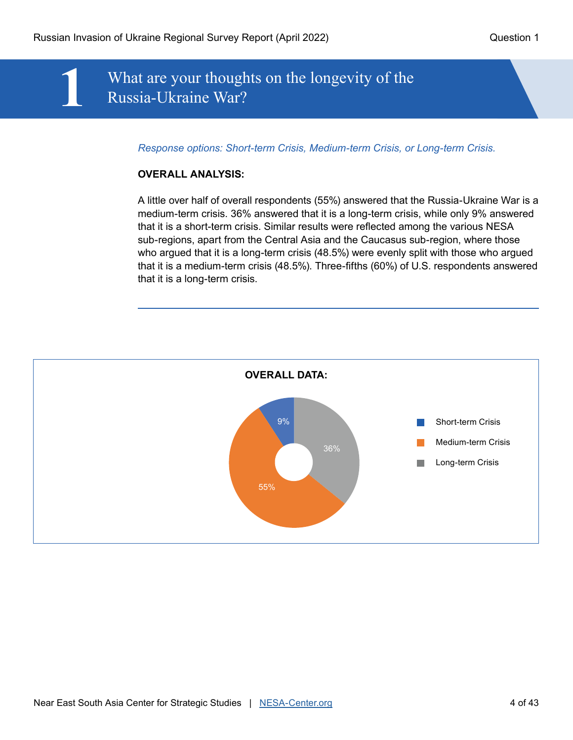## **1** What are your thoughts on the longevity of the Russia-Ukraine War?

*Response options: Short-term Crisis, Medium-term Crisis, or Long-term Crisis.*

#### **OVERALL ANALYSIS:**

A little over half of overall respondents (55%) answered that the Russia-Ukraine War is a medium-term crisis. 36% answered that it is a long-term crisis, while only 9% answered that it is a short-term crisis. Similar results were reflected among the various NESA sub-regions, apart from the Central Asia and the Caucasus sub-region, where those who argued that it is a long-term crisis (48.5%) were evenly split with those who argued that it is a medium-term crisis (48.5%). Three-fifths (60%) of U.S. respondents answered that it is a long-term crisis.

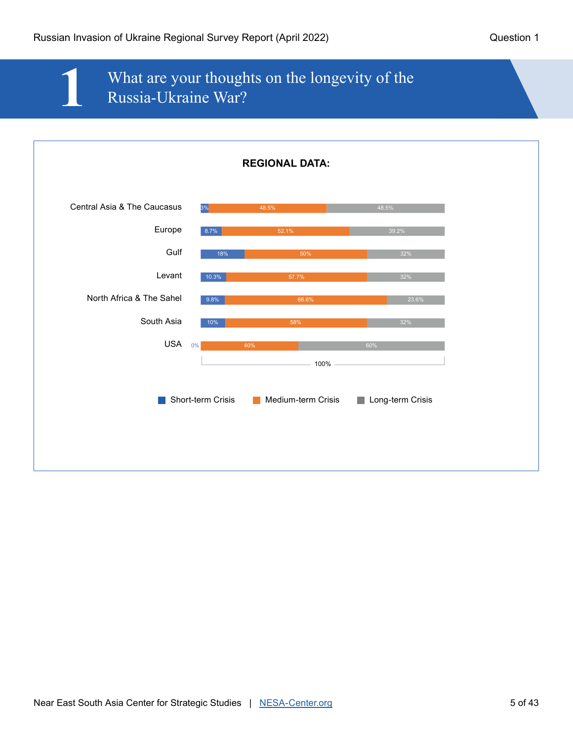## **1** What are your thoughts on the longevity of the Russia-Ukraine War?

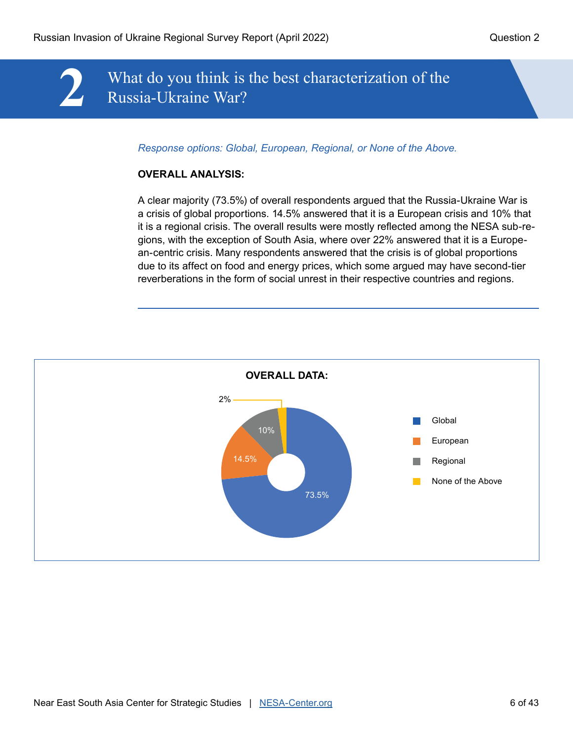## **2** What do you think is the best characterization of the Russia-Ukraine War?

*Response options: Global, European, Regional, or None of the Above.*

#### **OVERALL ANALYSIS:**

A clear majority (73.5%) of overall respondents argued that the Russia-Ukraine War is a crisis of global proportions. 14.5% answered that it is a European crisis and 10% that it is a regional crisis. The overall results were mostly reflected among the NESA sub-regions, with the exception of South Asia, where over 22% answered that it is a European-centric crisis. Many respondents answered that the crisis is of global proportions due to its affect on food and energy prices, which some argued may have second-tier reverberations in the form of social unrest in their respective countries and regions.

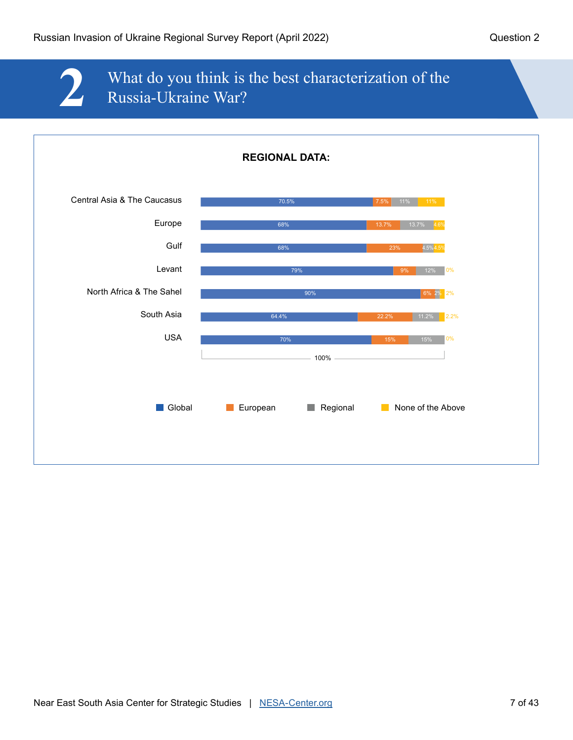## **2** What do you think is the best characterization of the Russia-Ukraine War?

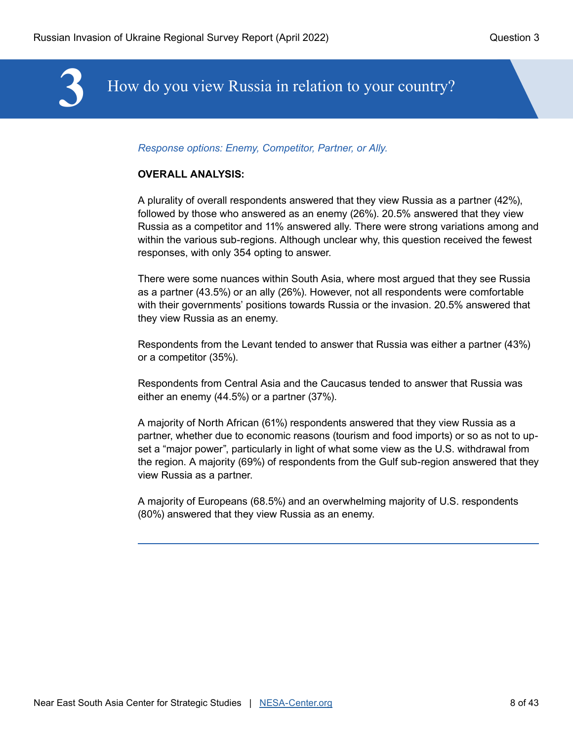

#### *Response options: Enemy, Competitor, Partner, or Ally.*

#### **OVERALL ANALYSIS:**

A plurality of overall respondents answered that they view Russia as a partner (42%), followed by those who answered as an enemy (26%). 20.5% answered that they view Russia as a competitor and 11% answered ally. There were strong variations among and within the various sub-regions. Although unclear why, this question received the fewest responses, with only 354 opting to answer.

There were some nuances within South Asia, where most argued that they see Russia as a partner (43.5%) or an ally (26%). However, not all respondents were comfortable with their governments' positions towards Russia or the invasion. 20.5% answered that they view Russia as an enemy.

Respondents from the Levant tended to answer that Russia was either a partner (43%) or a competitor (35%).

Respondents from Central Asia and the Caucasus tended to answer that Russia was either an enemy (44.5%) or a partner (37%).

A majority of North African (61%) respondents answered that they view Russia as a partner, whether due to economic reasons (tourism and food imports) or so as not to upset a "major power", particularly in light of what some view as the U.S. withdrawal from the region. A majority (69%) of respondents from the Gulf sub-region answered that they view Russia as a partner.

A majority of Europeans (68.5%) and an overwhelming majority of U.S. respondents (80%) answered that they view Russia as an enemy.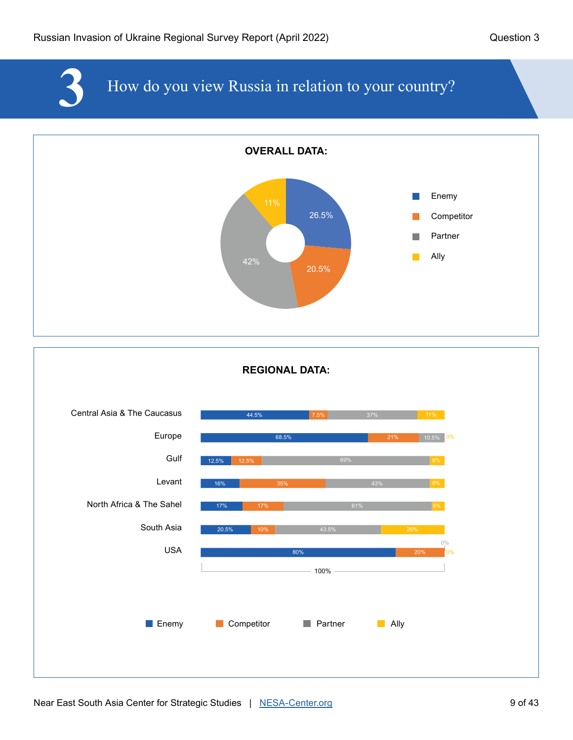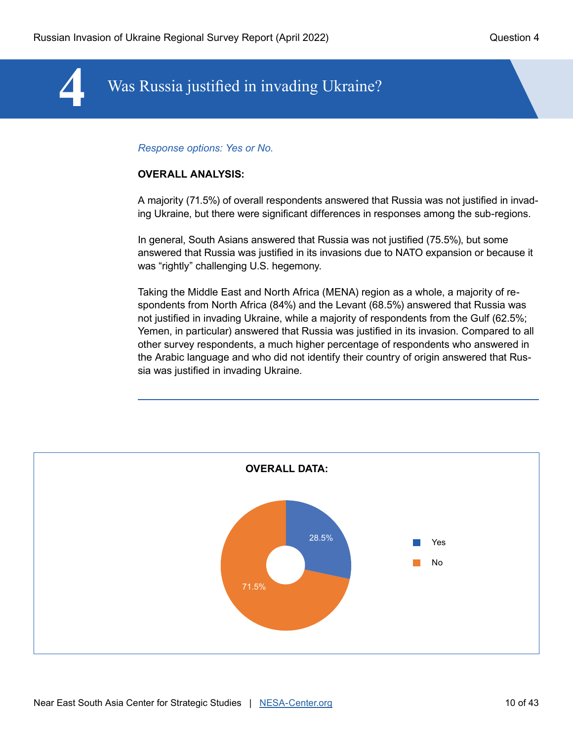## **4** Was Russia justified in invading Ukraine?

#### *Response options: Yes or No.*

#### **OVERALL ANALYSIS:**

A majority (71.5%) of overall respondents answered that Russia was not justified in invading Ukraine, but there were significant differences in responses among the sub-regions.

In general, South Asians answered that Russia was not justified (75.5%), but some answered that Russia was justified in its invasions due to NATO expansion or because it was "rightly" challenging U.S. hegemony.

Taking the Middle East and North Africa (MENA) region as a whole, a majority of respondents from North Africa (84%) and the Levant (68.5%) answered that Russia was not justified in invading Ukraine, while a majority of respondents from the Gulf (62.5%; Yemen, in particular) answered that Russia was justified in its invasion. Compared to all other survey respondents, a much higher percentage of respondents who answered in the Arabic language and who did not identify their country of origin answered that Russia was justified in invading Ukraine.

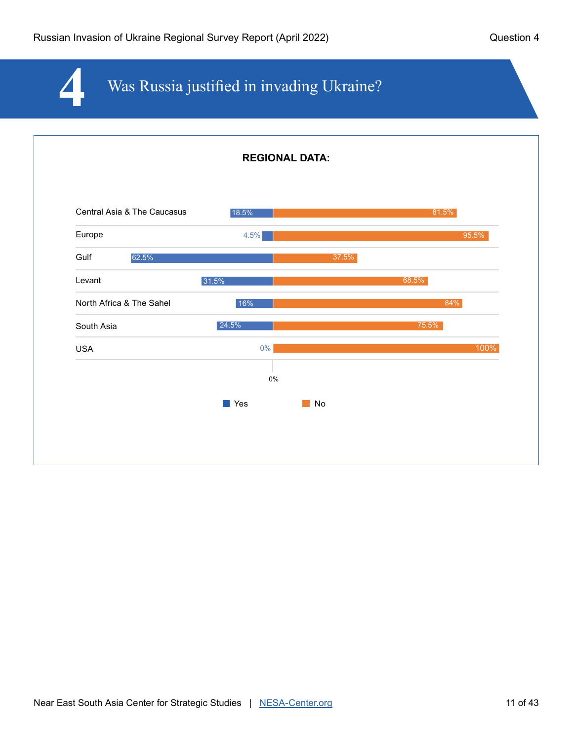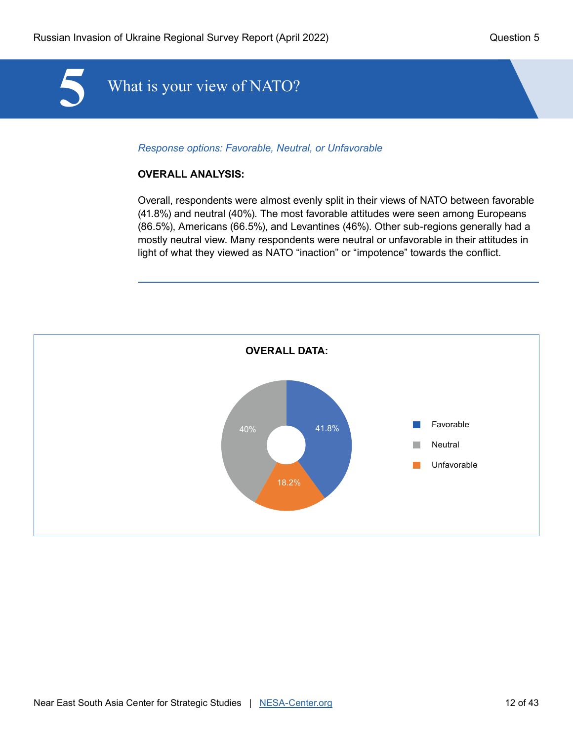

*Response options: Favorable, Neutral, or Unfavorable* 

#### **OVERALL ANALYSIS:**

Overall, respondents were almost evenly split in their views of NATO between favorable (41.8%) and neutral (40%). The most favorable attitudes were seen among Europeans (86.5%), Americans (66.5%), and Levantines (46%). Other sub-regions generally had a mostly neutral view. Many respondents were neutral or unfavorable in their attitudes in light of what they viewed as NATO "inaction" or "impotence" towards the conflict.

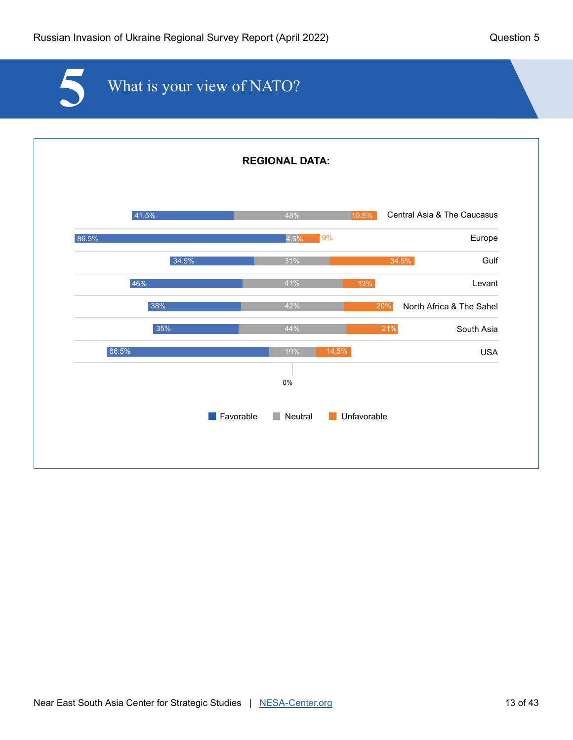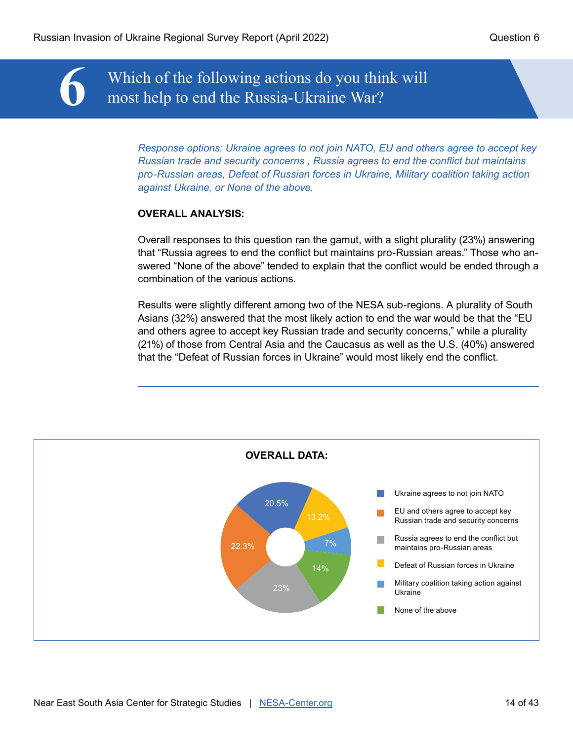**6** Which of the following actions do you think will most help to end the Russia-Ukraine War?

*Response options: Ukraine agrees to not join NATO, EU and others agree to accept key Russian trade and security concerns , Russia agrees to end the conflict but maintains pro-Russian areas, Defeat of Russian forces in Ukraine, Military coalition taking action against Ukraine, or None of the above.* 

#### **OVERALL ANALYSIS:**

Overall responses to this question ran the gamut, with a slight plurality (23%) answering that "Russia agrees to end the conflict but maintains pro-Russian areas." Those who answered "None of the above" tended to explain that the conflict would be ended through a combination of the various actions.

Results were slightly different among two of the NESA sub-regions. A plurality of South Asians (32%) answered that the most likely action to end the war would be that the "EU and others agree to accept key Russian trade and security concerns," while a plurality (21%) of those from Central Asia and the Caucasus as well as the U.S. (40%) answered that the "Defeat of Russian forces in Ukraine" would most likely end the conflict.

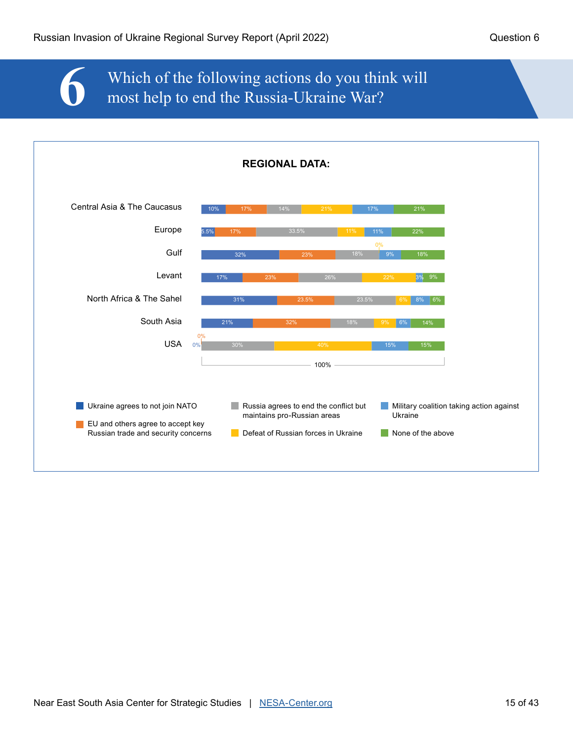## **6** Which of the following actions do you think will most help to end the Russia-Ukraine War?

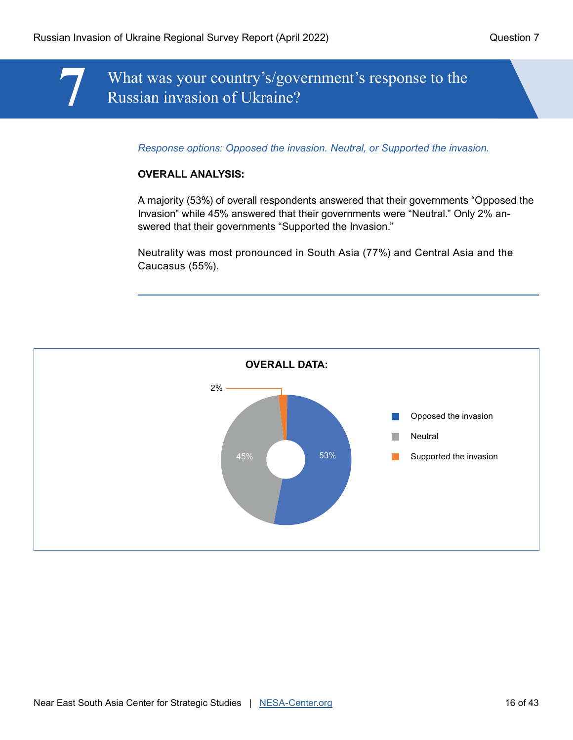## **7** What was your country's/government's response to the Russian invasion of Ukraine?

*Response options: Opposed the invasion. Neutral, or Supported the invasion.*

#### **OVERALL ANALYSIS:**

A majority (53%) of overall respondents answered that their governments "Opposed the Invasion" while 45% answered that their governments were "Neutral." Only 2% answered that their governments "Supported the Invasion."

Neutrality was most pronounced in South Asia (77%) and Central Asia and the Caucasus (55%).

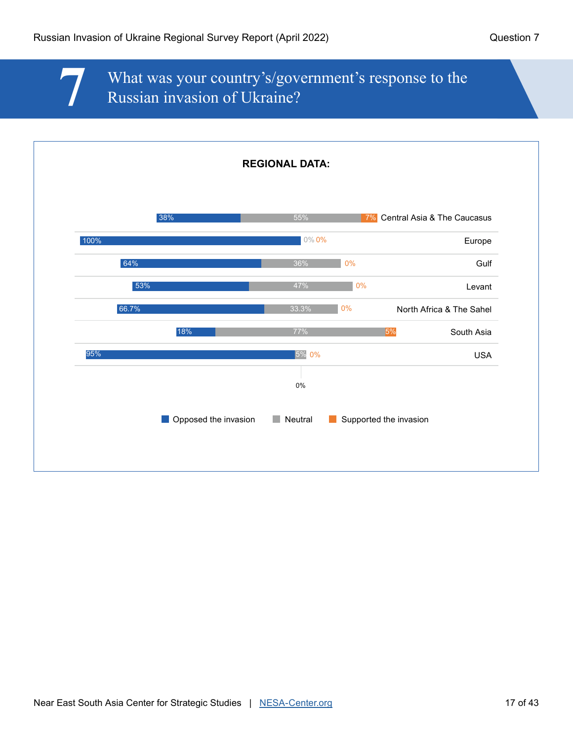## **7** What was your country's/government's response to the Russian invasion of Ukraine?

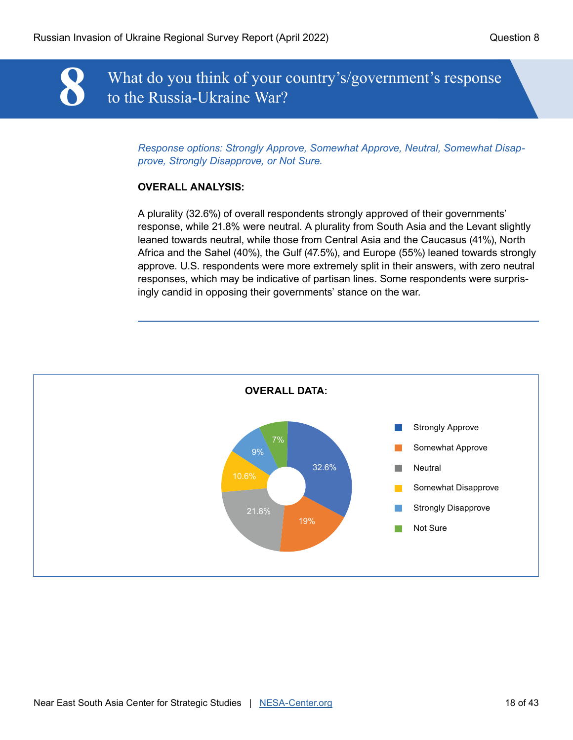**8** What do you think of your country's/government's response to the Russia-Ukraine War?

*Response options: Strongly Approve, Somewhat Approve, Neutral, Somewhat Disapprove, Strongly Disapprove, or Not Sure.*

#### **OVERALL ANALYSIS:**

A plurality (32.6%) of overall respondents strongly approved of their governments' response, while 21.8% were neutral. A plurality from South Asia and the Levant slightly leaned towards neutral, while those from Central Asia and the Caucasus (41%), North Africa and the Sahel (40%), the Gulf (47.5%), and Europe (55%) leaned towards strongly approve. U.S. respondents were more extremely split in their answers, with zero neutral responses, which may be indicative of partisan lines. Some respondents were surprisingly candid in opposing their governments' stance on the war.

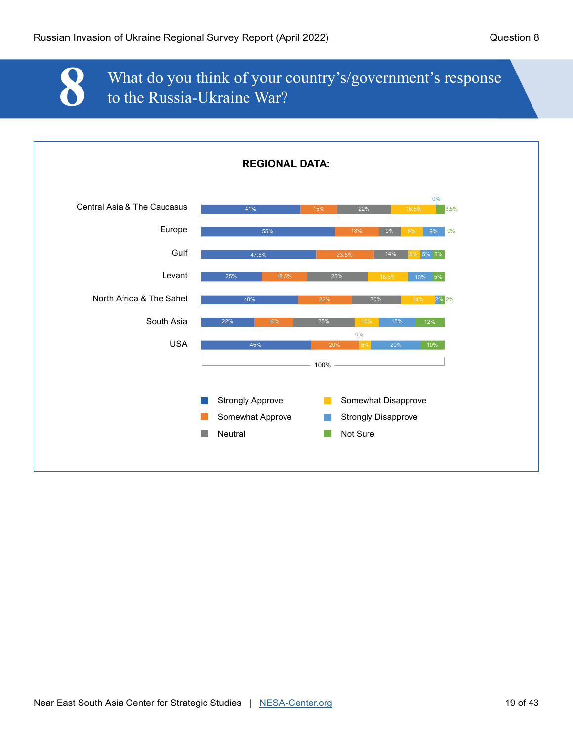

## **8** What do you think of your country's/government's response to the Russia-Ukraine War?

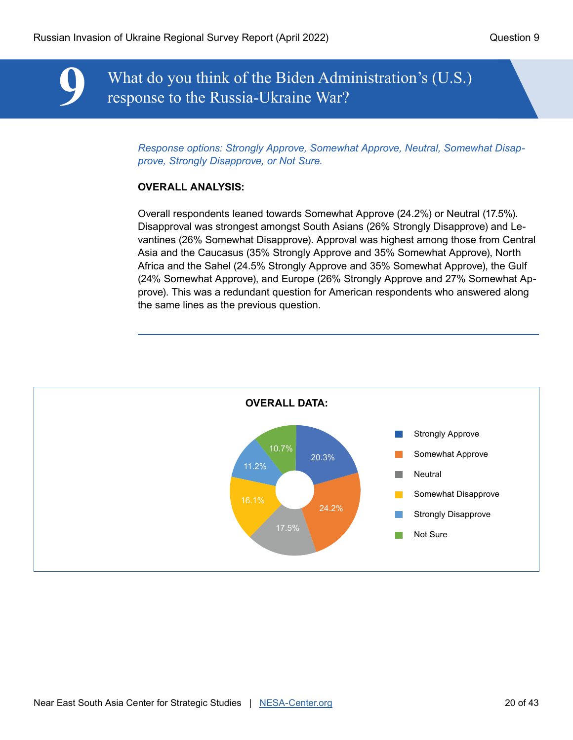**9** What do you think of the Biden Administration's (U.S.) response to the Russia-Ukraine War?

*Response options: Strongly Approve, Somewhat Approve, Neutral, Somewhat Disapprove, Strongly Disapprove, or Not Sure.*

#### **OVERALL ANALYSIS:**

Overall respondents leaned towards Somewhat Approve (24.2%) or Neutral (17.5%). Disapproval was strongest amongst South Asians (26% Strongly Disapprove) and Levantines (26% Somewhat Disapprove). Approval was highest among those from Central Asia and the Caucasus (35% Strongly Approve and 35% Somewhat Approve), North Africa and the Sahel (24.5% Strongly Approve and 35% Somewhat Approve), the Gulf (24% Somewhat Approve), and Europe (26% Strongly Approve and 27% Somewhat Approve). This was a redundant question for American respondents who answered along the same lines as the previous question.

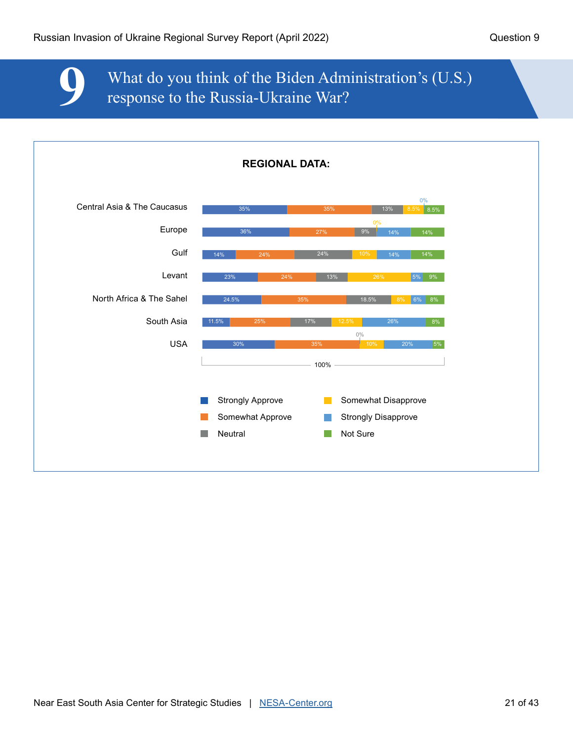## **9** What do you think of the Biden Administration's (U.S.) response to the Russia-Ukraine War?

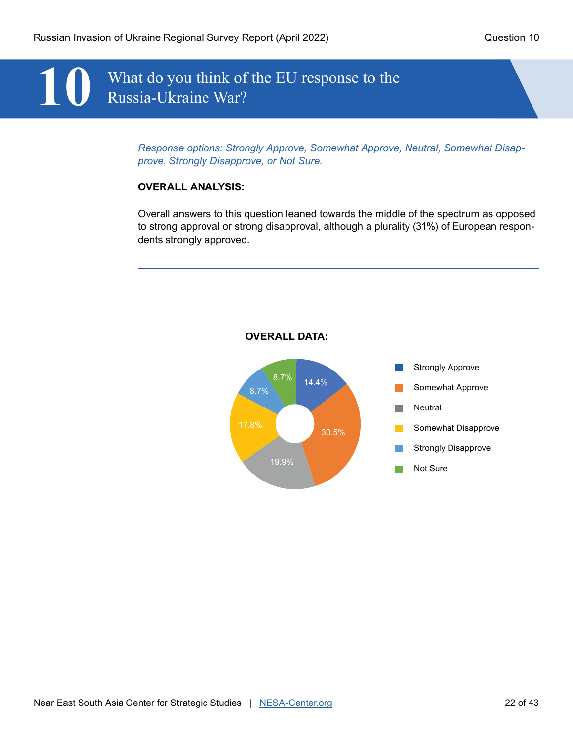## **10** What do you think of the EU response to the Russia-Ukraine War?

*Response options: Strongly Approve, Somewhat Approve, Neutral, Somewhat Disapprove, Strongly Disapprove, or Not Sure.*

#### **OVERALL ANALYSIS:**

Overall answers to this question leaned towards the middle of the spectrum as opposed to strong approval or strong disapproval, although a plurality (31%) of European respondents strongly approved.

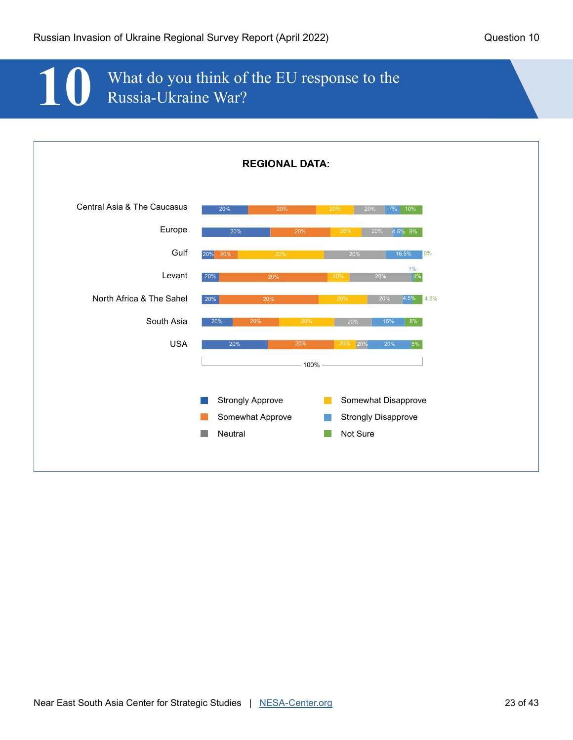## **10** What do you think of the EU response to the Russia-Ukraine War?

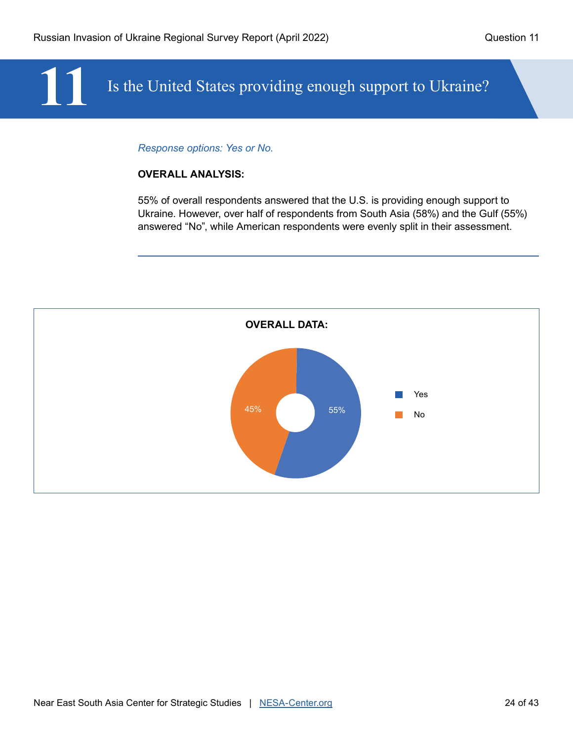## Is the United States providing enough support to Ukraine?

#### *Response options: Yes or No.*

#### **OVERALL ANALYSIS:**

55% of overall respondents answered that the U.S. is providing enough support to Ukraine. However, over half of respondents from South Asia (58%) and the Gulf (55%) answered "No", while American respondents were evenly split in their assessment.

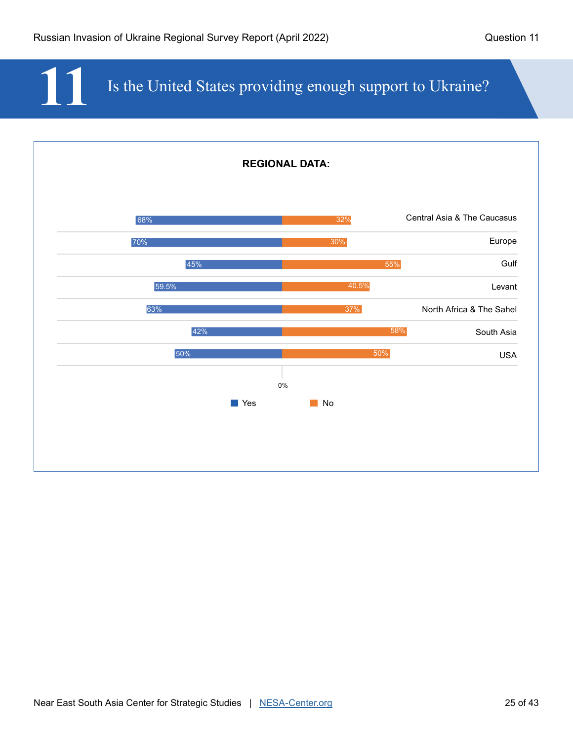## Is the United States providing enough support to Ukraine?

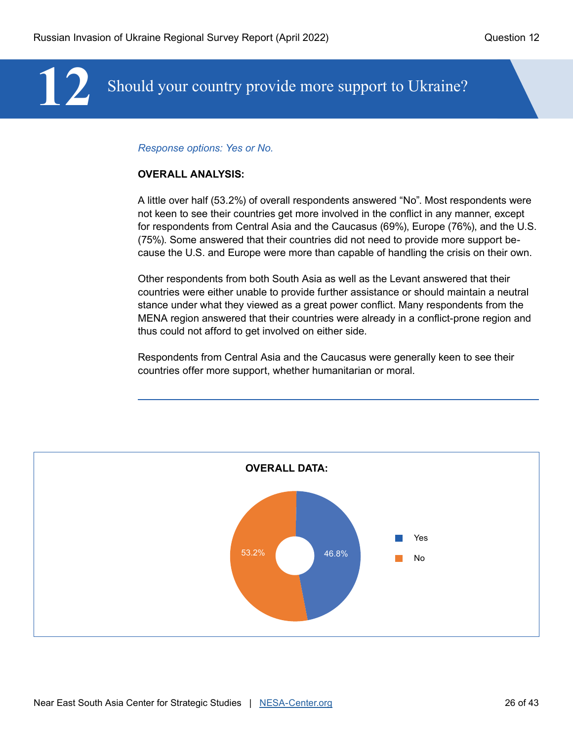## **12** Should your country provide more support to Ukraine?

#### *Response options: Yes or No.*

#### **OVERALL ANALYSIS:**

A little over half (53.2%) of overall respondents answered "No". Most respondents were not keen to see their countries get more involved in the conflict in any manner, except for respondents from Central Asia and the Caucasus (69%), Europe (76%), and the U.S. (75%). Some answered that their countries did not need to provide more support because the U.S. and Europe were more than capable of handling the crisis on their own.

Other respondents from both South Asia as well as the Levant answered that their countries were either unable to provide further assistance or should maintain a neutral stance under what they viewed as a great power conflict. Many respondents from the MENA region answered that their countries were already in a conflict-prone region and thus could not afford to get involved on either side.

Respondents from Central Asia and the Caucasus were generally keen to see their countries offer more support, whether humanitarian or moral.

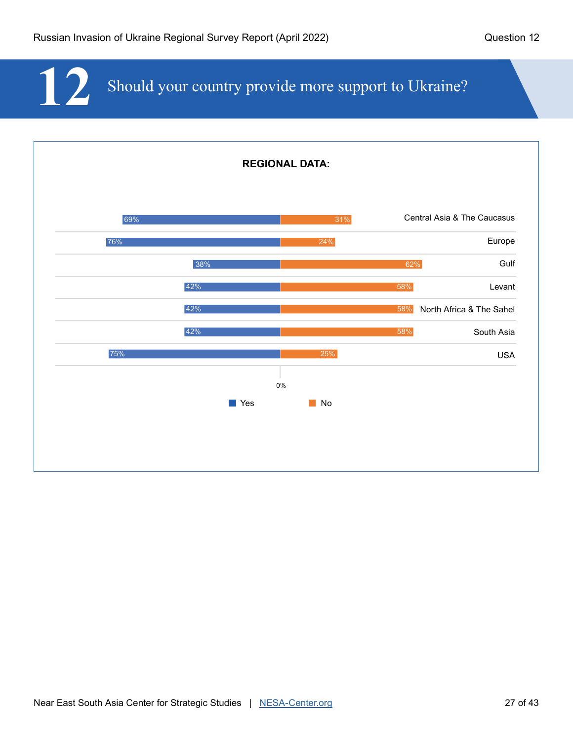**12** Should your country provide more support to Ukraine?

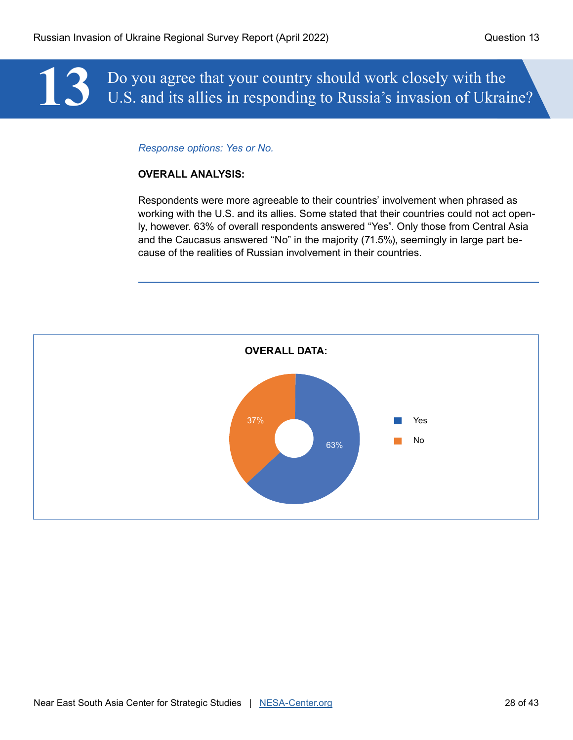# **13** Do you agree that your country should work closely with the U.S. and its allies in responding to Russia's invasion of Ukrai U.S. and its allies in responding to Russia's invasion of Ukraine?

#### *Response options: Yes or No.*

#### **OVERALL ANALYSIS:**

Respondents were more agreeable to their countries' involvement when phrased as working with the U.S. and its allies. Some stated that their countries could not act openly, however. 63% of overall respondents answered "Yes". Only those from Central Asia and the Caucasus answered "No" in the majority (71.5%), seemingly in large part because of the realities of Russian involvement in their countries.

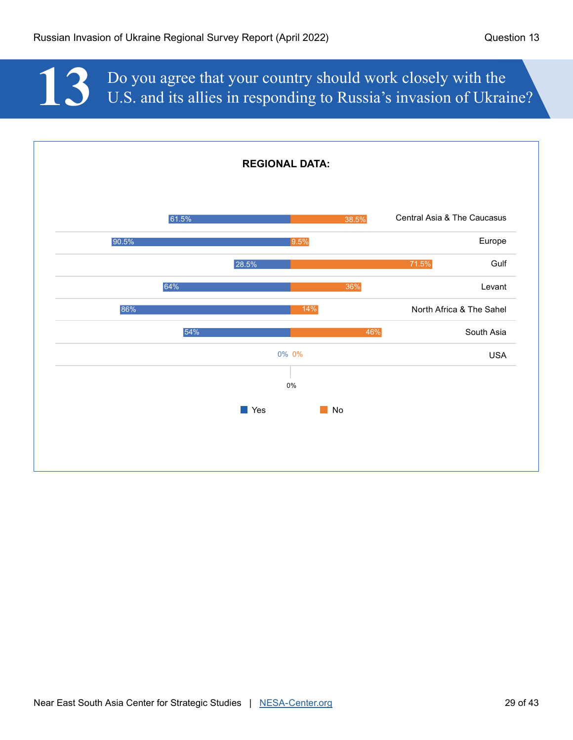**13** Do you agree that your country should work closely with the U.S. and its allies in responding to Russia's invasion of Ukrai U.S. and its allies in responding to Russia's invasion of Ukraine?

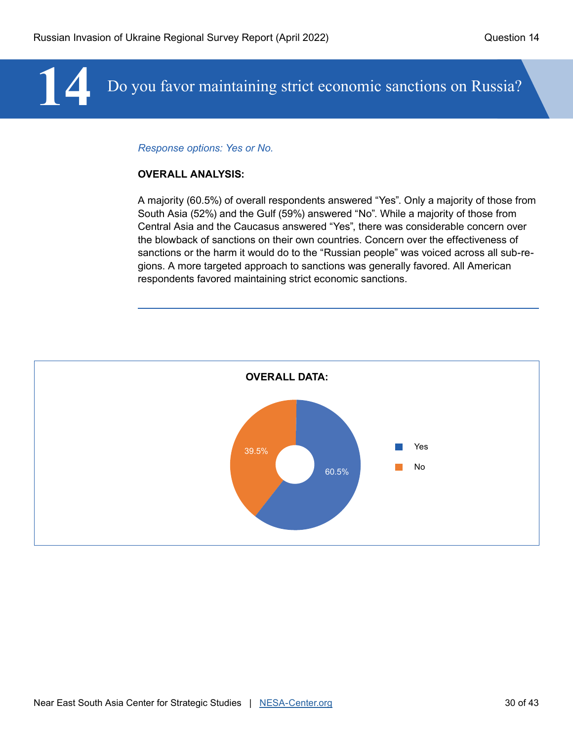## **14** Do you favor maintaining strict economic sanctions on Russia?

#### *Response options: Yes or No.*

#### **OVERALL ANALYSIS:**

A majority (60.5%) of overall respondents answered "Yes". Only a majority of those from South Asia (52%) and the Gulf (59%) answered "No". While a majority of those from Central Asia and the Caucasus answered "Yes", there was considerable concern over the blowback of sanctions on their own countries. Concern over the effectiveness of sanctions or the harm it would do to the "Russian people" was voiced across all sub-regions. A more targeted approach to sanctions was generally favored. All American respondents favored maintaining strict economic sanctions.

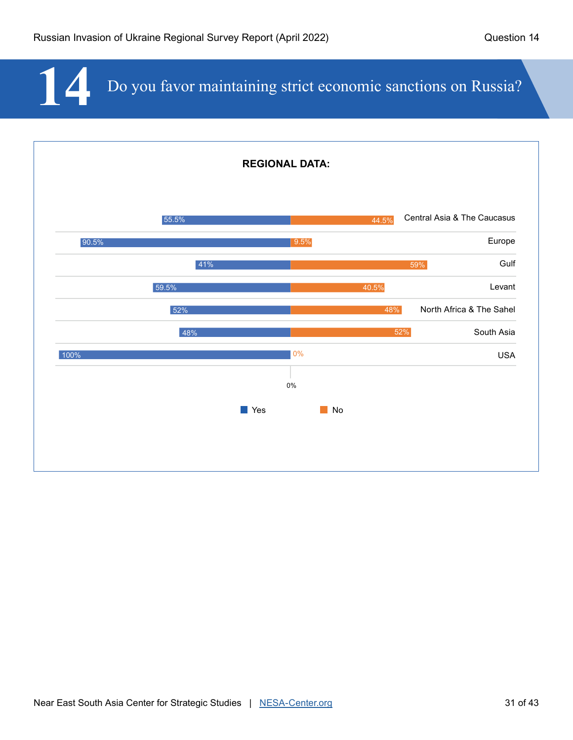14 Do you favor maintaining strict economic sanctions on Russia?

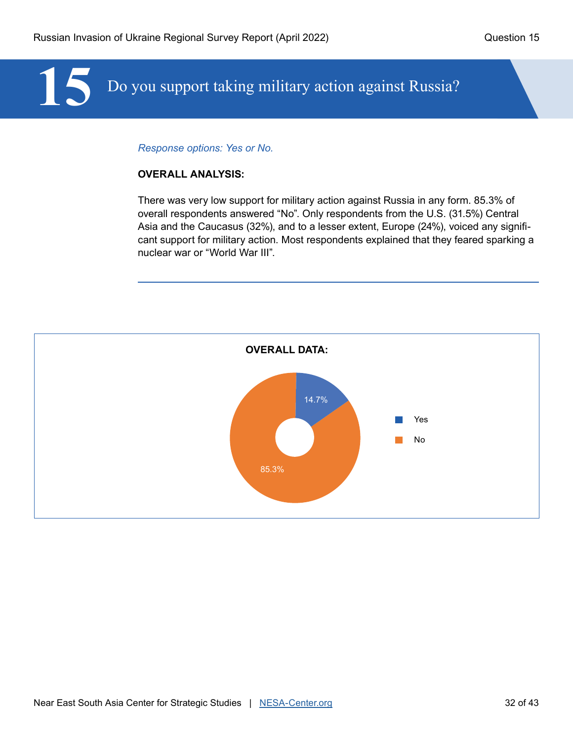# **15** Do you support taking military action against Russia?

#### *Response options: Yes or No.*

#### **OVERALL ANALYSIS:**

There was very low support for military action against Russia in any form. 85.3% of overall respondents answered "No". Only respondents from the U.S. (31.5%) Central Asia and the Caucasus (32%), and to a lesser extent, Europe (24%), voiced any significant support for military action. Most respondents explained that they feared sparking a nuclear war or "World War III".

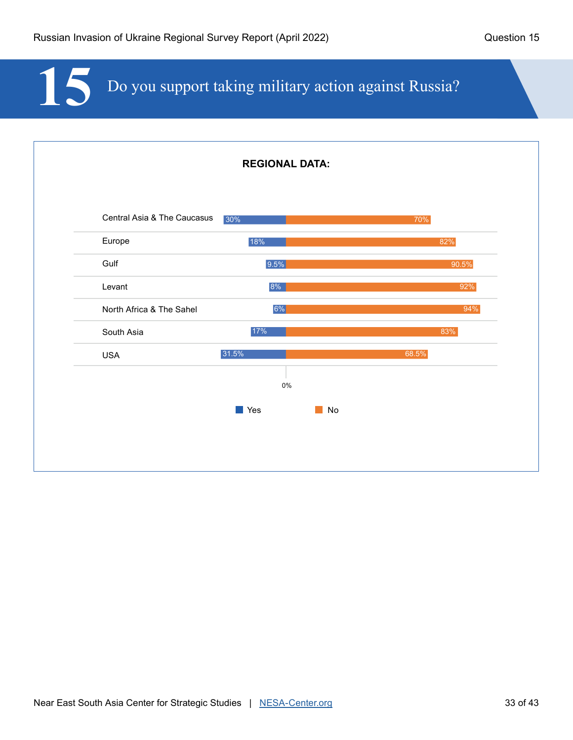# **15** Do you support taking military action against Russia?

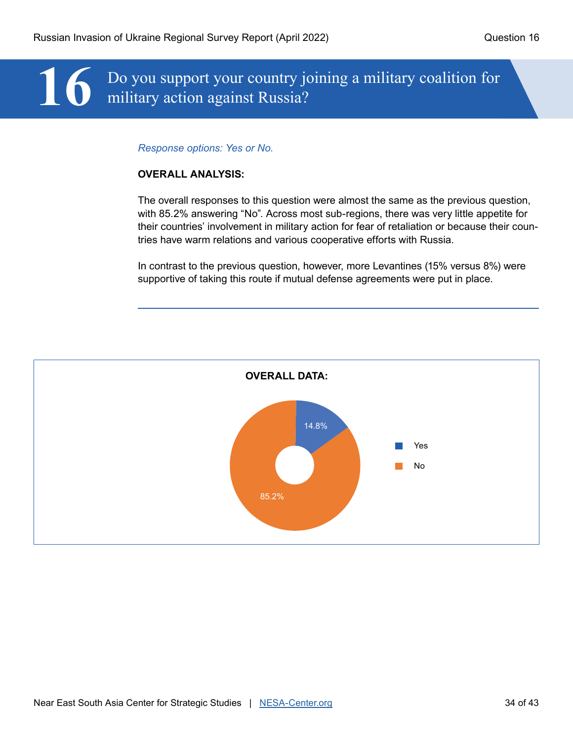# 16 Do you support your country joining a military coalition for military action against Russia? military action against Russia?

#### *Response options: Yes or No.*

#### **OVERALL ANALYSIS:**

The overall responses to this question were almost the same as the previous question, with 85.2% answering "No". Across most sub-regions, there was very little appetite for their countries' involvement in military action for fear of retaliation or because their countries have warm relations and various cooperative efforts with Russia.

In contrast to the previous question, however, more Levantines (15% versus 8%) were supportive of taking this route if mutual defense agreements were put in place.

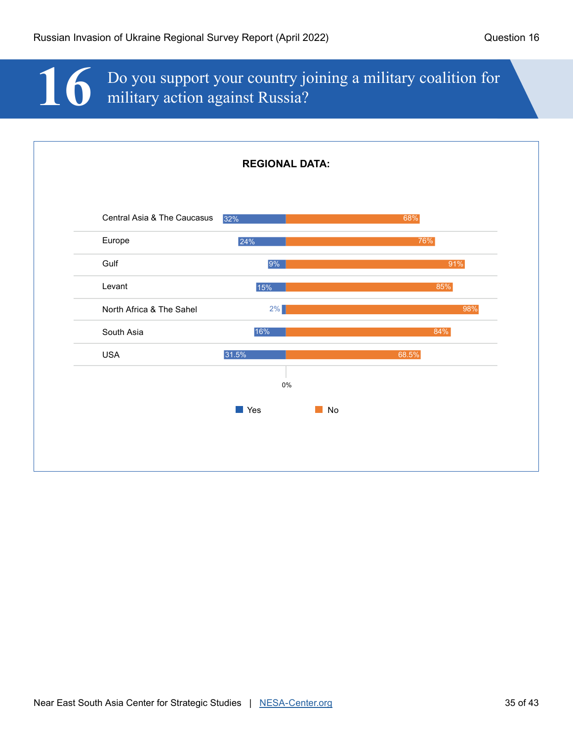# 16 Do you support your country joining a military coalition for military action against Russia? military action against Russia?

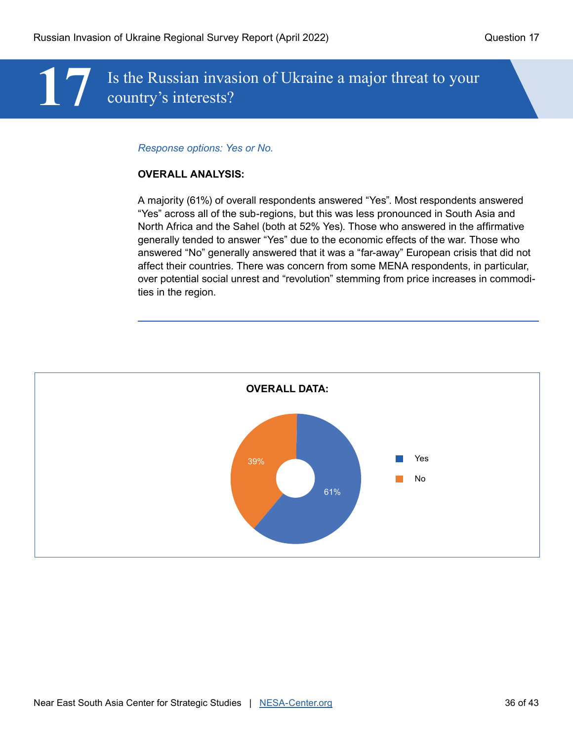## **17** Is the Russian invasion of Ukraine a major threat to your country's interests?

#### *Response options: Yes or No.*

#### **OVERALL ANALYSIS:**

A majority (61%) of overall respondents answered "Yes". Most respondents answered "Yes" across all of the sub-regions, but this was less pronounced in South Asia and North Africa and the Sahel (both at 52% Yes). Those who answered in the affirmative generally tended to answer "Yes" due to the economic effects of the war. Those who answered "No" generally answered that it was a "far-away" European crisis that did not affect their countries. There was concern from some MENA respondents, in particular, over potential social unrest and "revolution" stemming from price increases in commodities in the region.

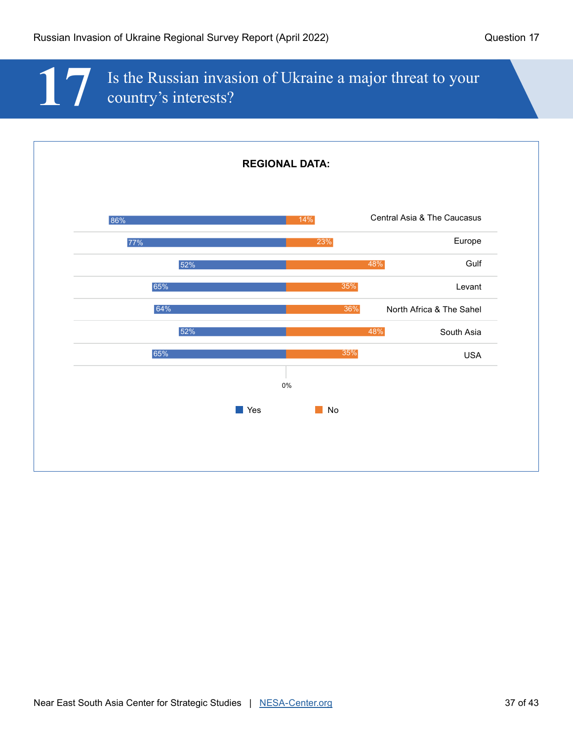## **17** Is the Russian invasion of Ukraine a major threat to your country's interests?

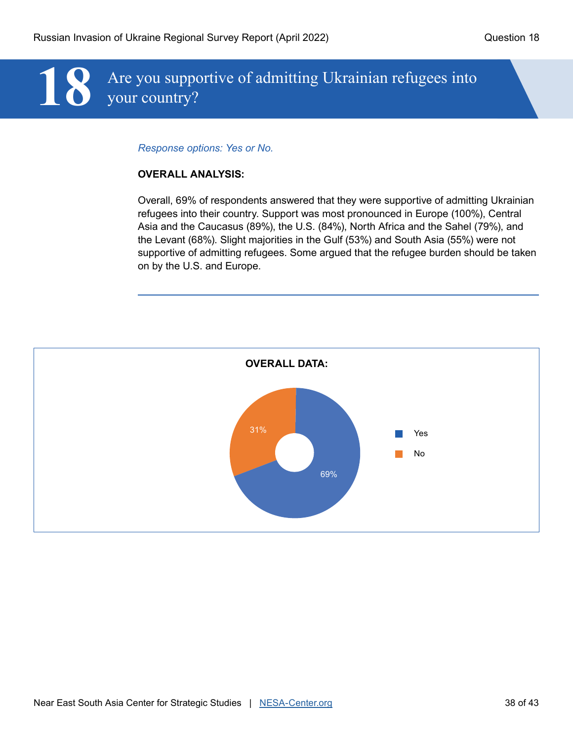# 18 Are you supportive of admitting Ukrainian refugees into your country? your country?

#### *Response options: Yes or No.*

#### **OVERALL ANALYSIS:**

Overall, 69% of respondents answered that they were supportive of admitting Ukrainian refugees into their country. Support was most pronounced in Europe (100%), Central Asia and the Caucasus (89%), the U.S. (84%), North Africa and the Sahel (79%), and the Levant (68%). Slight majorities in the Gulf (53%) and South Asia (55%) were not supportive of admitting refugees. Some argued that the refugee burden should be taken on by the U.S. and Europe.

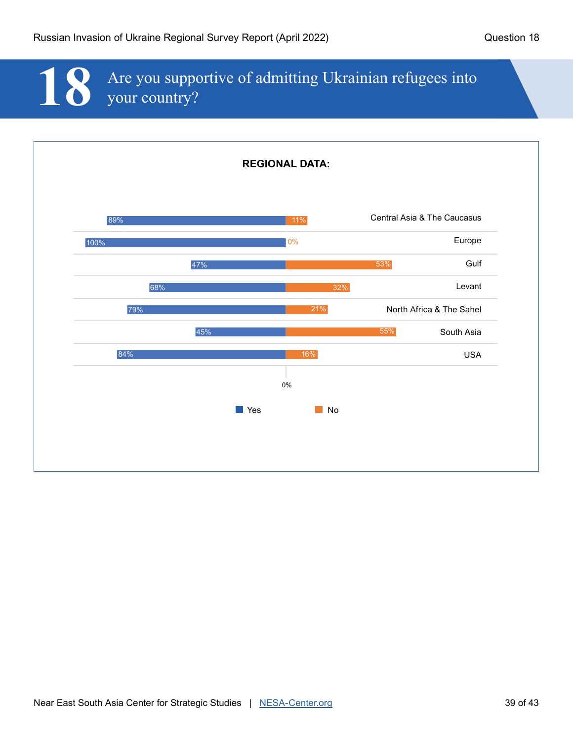# 18 Are you supportive of admitting Ukrainian refugees into your country? your country?

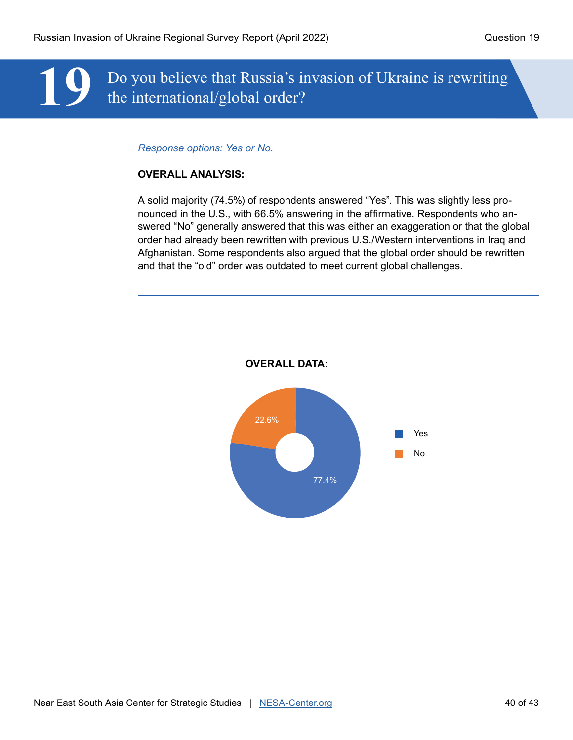## **19** Do you believe that Russia's invasion of Ukraine is rewriting the international/global order?

#### *Response options: Yes or No.*

#### **OVERALL ANALYSIS:**

A solid majority (74.5%) of respondents answered "Yes". This was slightly less pronounced in the U.S., with 66.5% answering in the affirmative. Respondents who answered "No" generally answered that this was either an exaggeration or that the global order had already been rewritten with previous U.S./Western interventions in Iraq and Afghanistan. Some respondents also argued that the global order should be rewritten and that the "old" order was outdated to meet current global challenges.

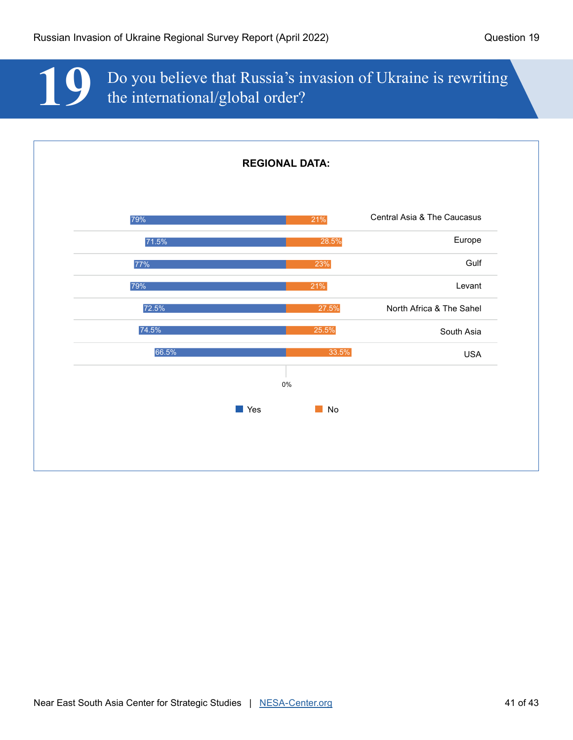**19** Do you believe that Russia's invasion of Ukraine is rewriting the international/global order?

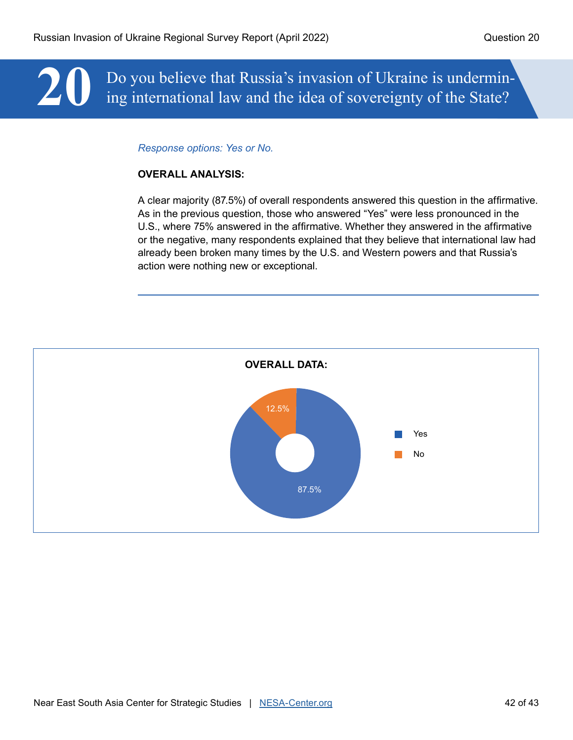# **20** Do you believe that Russia's invasion of Ukraine is undermin-<br>ing international law and the idea of sovereignty of the State? ing international law and the idea of sovereignty of the State?

#### *Response options: Yes or No.*

#### **OVERALL ANALYSIS:**

A clear majority (87.5%) of overall respondents answered this question in the affirmative. As in the previous question, those who answered "Yes" were less pronounced in the U.S., where 75% answered in the affirmative. Whether they answered in the affirmative or the negative, many respondents explained that they believe that international law had already been broken many times by the U.S. and Western powers and that Russia's action were nothing new or exceptional.